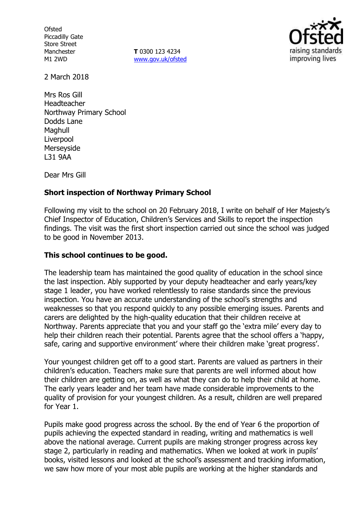**Ofsted** Piccadilly Gate Store Street Manchester M1 2WD

**T** 0300 123 4234 www.gov.uk/ofsted



2 March 2018

Mrs Ros Gill Headteacher Northway Primary School Dodds Lane Maghull Liverpool Merseyside L31 9AA

Dear Mrs Gill

## **Short inspection of Northway Primary School**

Following my visit to the school on 20 February 2018, I write on behalf of Her Majesty's Chief Inspector of Education, Children's Services and Skills to report the inspection findings. The visit was the first short inspection carried out since the school was judged to be good in November 2013.

## **This school continues to be good.**

The leadership team has maintained the good quality of education in the school since the last inspection. Ably supported by your deputy headteacher and early years/key stage 1 leader, you have worked relentlessly to raise standards since the previous inspection. You have an accurate understanding of the school's strengths and weaknesses so that you respond quickly to any possible emerging issues. Parents and carers are delighted by the high-quality education that their children receive at Northway. Parents appreciate that you and your staff go the 'extra mile' every day to help their children reach their potential. Parents agree that the school offers a 'happy, safe, caring and supportive environment' where their children make 'great progress'.

Your youngest children get off to a good start. Parents are valued as partners in their children's education. Teachers make sure that parents are well informed about how their children are getting on, as well as what they can do to help their child at home. The early years leader and her team have made considerable improvements to the quality of provision for your youngest children. As a result, children are well prepared for Year 1.

Pupils make good progress across the school. By the end of Year 6 the proportion of pupils achieving the expected standard in reading, writing and mathematics is well above the national average. Current pupils are making stronger progress across key stage 2, particularly in reading and mathematics. When we looked at work in pupils' books, visited lessons and looked at the school's assessment and tracking information, we saw how more of your most able pupils are working at the higher standards and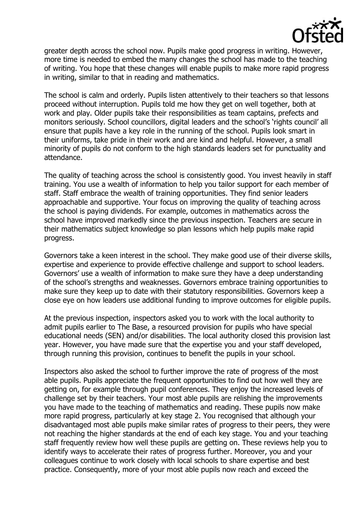

greater depth across the school now. Pupils make good progress in writing. However, more time is needed to embed the many changes the school has made to the teaching of writing. You hope that these changes will enable pupils to make more rapid progress in writing, similar to that in reading and mathematics.

The school is calm and orderly. Pupils listen attentively to their teachers so that lessons proceed without interruption. Pupils told me how they get on well together, both at work and play. Older pupils take their responsibilities as team captains, prefects and monitors seriously. School councillors, digital leaders and the school's 'rights council' all ensure that pupils have a key role in the running of the school. Pupils look smart in their uniforms, take pride in their work and are kind and helpful. However, a small minority of pupils do not conform to the high standards leaders set for punctuality and attendance.

The quality of teaching across the school is consistently good. You invest heavily in staff training. You use a wealth of information to help you tailor support for each member of staff. Staff embrace the wealth of training opportunities. They find senior leaders approachable and supportive. Your focus on improving the quality of teaching across the school is paying dividends. For example, outcomes in mathematics across the school have improved markedly since the previous inspection. Teachers are secure in their mathematics subject knowledge so plan lessons which help pupils make rapid progress.

Governors take a keen interest in the school. They make good use of their diverse skills, expertise and experience to provide effective challenge and support to school leaders. Governors' use a wealth of information to make sure they have a deep understanding of the school's strengths and weaknesses. Governors embrace training opportunities to make sure they keep up to date with their statutory responsibilities. Governors keep a close eye on how leaders use additional funding to improve outcomes for eligible pupils.

At the previous inspection, inspectors asked you to work with the local authority to admit pupils earlier to The Base, a resourced provision for pupils who have special educational needs (SEN) and/or disabilities. The local authority closed this provision last year. However, you have made sure that the expertise you and your staff developed, through running this provision, continues to benefit the pupils in your school.

Inspectors also asked the school to further improve the rate of progress of the most able pupils. Pupils appreciate the frequent opportunities to find out how well they are getting on, for example through pupil conferences. They enjoy the increased levels of challenge set by their teachers. Your most able pupils are relishing the improvements you have made to the teaching of mathematics and reading. These pupils now make more rapid progress, particularly at key stage 2. You recognised that although your disadvantaged most able pupils make similar rates of progress to their peers, they were not reaching the higher standards at the end of each key stage. You and your teaching staff frequently review how well these pupils are getting on. These reviews help you to identify ways to accelerate their rates of progress further. Moreover, you and your colleagues continue to work closely with local schools to share expertise and best practice. Consequently, more of your most able pupils now reach and exceed the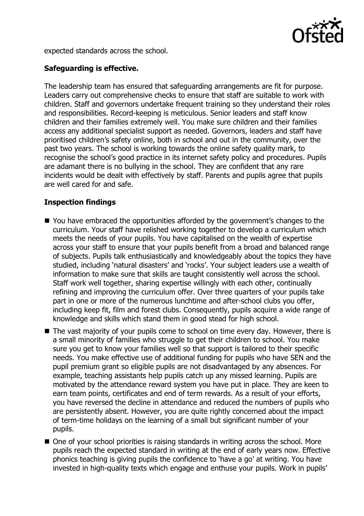

expected standards across the school.

# **Safeguarding is effective.**

The leadership team has ensured that safeguarding arrangements are fit for purpose. Leaders carry out comprehensive checks to ensure that staff are suitable to work with children. Staff and governors undertake frequent training so they understand their roles and responsibilities. Record-keeping is meticulous. Senior leaders and staff know children and their families extremely well. You make sure children and their families access any additional specialist support as needed. Governors, leaders and staff have prioritised children's safety online, both in school and out in the community, over the past two years. The school is working towards the online safety quality mark, to recognise the school's good practice in its internet safety policy and procedures. Pupils are adamant there is no bullying in the school. They are confident that any rare incidents would be dealt with effectively by staff. Parents and pupils agree that pupils are well cared for and safe.

# **Inspection findings**

- You have embraced the opportunities afforded by the government's changes to the curriculum. Your staff have relished working together to develop a curriculum which meets the needs of your pupils. You have capitalised on the wealth of expertise across your staff to ensure that your pupils benefit from a broad and balanced range of subjects. Pupils talk enthusiastically and knowledgeably about the topics they have studied, including 'natural disasters' and 'rocks'. Your subject leaders use a wealth of information to make sure that skills are taught consistently well across the school. Staff work well together, sharing expertise willingly with each other, continually refining and improving the curriculum offer. Over three quarters of your pupils take part in one or more of the numerous lunchtime and after-school clubs you offer, including keep fit, film and forest clubs. Consequently, pupils acquire a wide range of knowledge and skills which stand them in good stead for high school.
- The vast majority of your pupils come to school on time every day. However, there is a small minority of families who struggle to get their children to school. You make sure you get to know your families well so that support is tailored to their specific needs. You make effective use of additional funding for pupils who have SEN and the pupil premium grant so eligible pupils are not disadvantaged by any absences. For example, teaching assistants help pupils catch up any missed learning. Pupils are motivated by the attendance reward system you have put in place. They are keen to earn team points, certificates and end of term rewards. As a result of your efforts, you have reversed the decline in attendance and reduced the numbers of pupils who are persistently absent. However, you are quite rightly concerned about the impact of term-time holidays on the learning of a small but significant number of your pupils.
- One of your school priorities is raising standards in writing across the school. More pupils reach the expected standard in writing at the end of early years now. Effective phonics teaching is giving pupils the confidence to 'have a go' at writing. You have invested in high-quality texts which engage and enthuse your pupils. Work in pupils'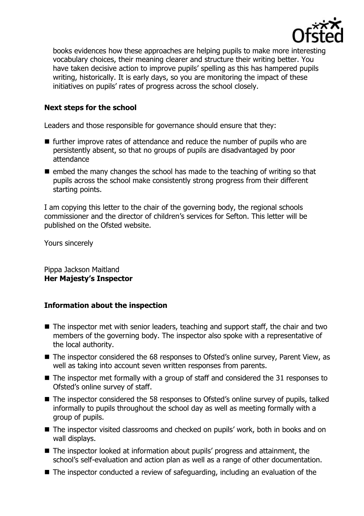

books evidences how these approaches are helping pupils to make more interesting vocabulary choices, their meaning clearer and structure their writing better. You have taken decisive action to improve pupils' spelling as this has hampered pupils writing, historically. It is early days, so you are monitoring the impact of these initiatives on pupils' rates of progress across the school closely.

# **Next steps for the school**

Leaders and those responsible for governance should ensure that they:

- $\blacksquare$  further improve rates of attendance and reduce the number of pupils who are persistently absent, so that no groups of pupils are disadvantaged by poor attendance
- $\blacksquare$  embed the many changes the school has made to the teaching of writing so that pupils across the school make consistently strong progress from their different starting points.

I am copying this letter to the chair of the governing body, the regional schools commissioner and the director of children's services for Sefton. This letter will be published on the Ofsted website.

Yours sincerely

Pippa Jackson Maitland **Her Majesty's Inspector**

## **Information about the inspection**

- The inspector met with senior leaders, teaching and support staff, the chair and two members of the governing body. The inspector also spoke with a representative of the local authority.
- The inspector considered the 68 responses to Ofsted's online survey, Parent View, as well as taking into account seven written responses from parents.
- The inspector met formally with a group of staff and considered the 31 responses to Ofsted's online survey of staff.
- The inspector considered the 58 responses to Ofsted's online survey of pupils, talked informally to pupils throughout the school day as well as meeting formally with a group of pupils.
- The inspector visited classrooms and checked on pupils' work, both in books and on wall displays.
- The inspector looked at information about pupils' progress and attainment, the school's self-evaluation and action plan as well as a range of other documentation.
- The inspector conducted a review of safeguarding, including an evaluation of the